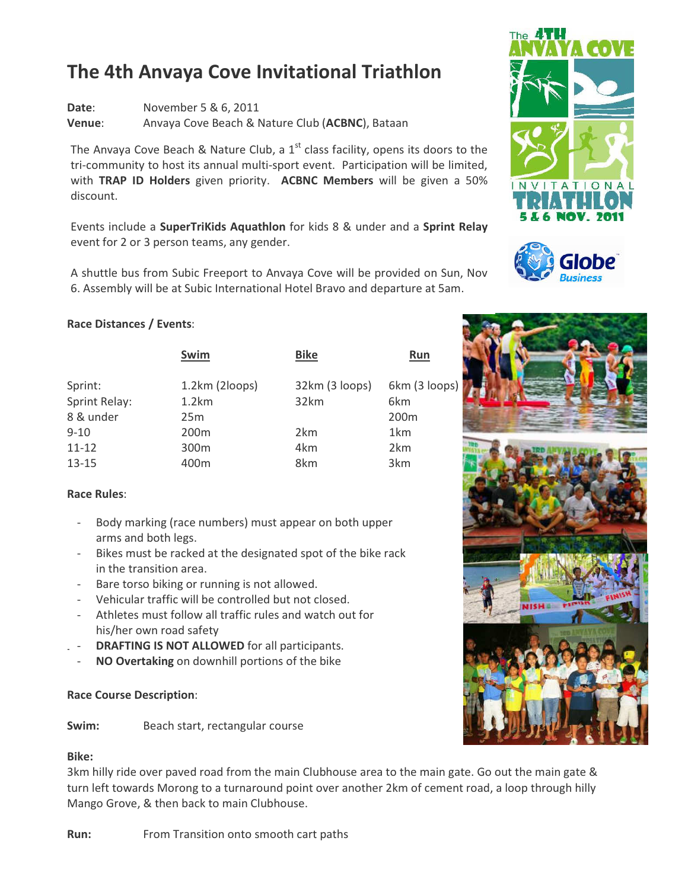# The 4th Anvaya Cove Invitational Triathlon

Date: November 5 & 6, 2011 Venue: Anvaya Cove Beach & Nature Club (ACBNC), Bataan

The Anvaya Cove Beach & Nature Club, a  $1<sup>st</sup>$  class facility, opens its doors to the tri-community to host its annual multi-sport event. Participation will be limited, with TRAP ID Holders given priority. ACBNC Members will be given a 50% discount.

Events include a SuperTriKids Aquathlon for kids 8 & under and a Sprint Relay event for 2 or 3 person teams, any gender.

A shuttle bus from Subic Freeport to Anvaya Cove will be provided on Sun, Nov 6. Assembly will be at Subic International Hotel Bravo and departure at 5am.

## Race Distances / Events:

|                      | Swim             | <b>Bike</b>    | <b>Run</b>      |
|----------------------|------------------|----------------|-----------------|
| Sprint:              | 1.2km (2loops)   | 32km (3 loops) | 6km (3 loops)   |
| <b>Sprint Relay:</b> | 1.2km            | 32km           | 6km             |
| 8 & under            | 25m              |                | 200m            |
| $9 - 10$             | 200 <sub>m</sub> | 2km            | 1km             |
| $11 - 12$            | 300 <sub>m</sub> | 4km            | 2km             |
| 13-15                | 400m             | 8km            | 3 <sub>km</sub> |

## Race Rules:

- Body marking (race numbers) must appear on both upper arms and both legs.
- Bikes must be racked at the designated spot of the bike rack in the transition area.
- Bare torso biking or running is not allowed.
- Vehicular traffic will be controlled but not closed.
- Athletes must follow all traffic rules and watch out for his/her own road safety
- DRAFTING IS NOT ALLOWED for all participants.
- NO Overtaking on downhill portions of the bike

## Race Course Description:

Swim: Beach start, rectangular course

## Bike:

3km hilly ride over paved road from the main Clubhouse area to the main gate. Go out the main gate & turn left towards Morong to a turnaround point over another 2km of cement road, a loop through hilly Mango Grove, & then back to main Clubhouse.

Run: From Transition onto smooth cart paths





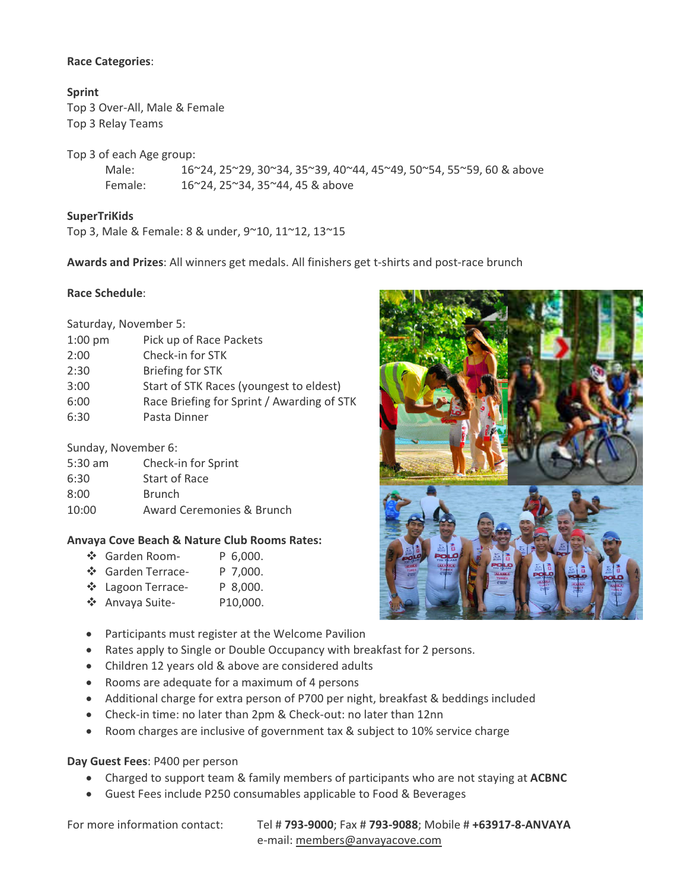#### Race Categories:

Sprint Top 3 Over-All, Male & Female Top 3 Relay Teams

Top 3 of each Age group:

 Male: 16~24, 25~29, 30~34, 35~39, 40~44, 45~49, 50~54, 55~59, 60 & above Female: 16~24, 25~34, 35~44, 45 & above

## **SuperTriKids**

Top 3, Male & Female: 8 & under, 9~10, 11~12, 13~15

Awards and Prizes: All winners get medals. All finishers get t-shirts and post-race brunch

#### Race Schedule:

| Saturday, November 5:                      |  |  |  |  |
|--------------------------------------------|--|--|--|--|
| Pick up of Race Packets                    |  |  |  |  |
| Check-in for STK                           |  |  |  |  |
| <b>Briefing for STK</b>                    |  |  |  |  |
| Start of STK Races (youngest to eldest)    |  |  |  |  |
| Race Briefing for Sprint / Awarding of STK |  |  |  |  |
| Pasta Dinner                               |  |  |  |  |
|                                            |  |  |  |  |

#### Sunday, November 6:

| 5:30 am | Check-in for Sprint       |
|---------|---------------------------|
| 6:30    | Start of Race             |
| 8:00    | <b>Brunch</b>             |
| 10:00   | Award Ceremonies & Brunch |
|         |                           |

#### Anvaya Cove Beach & Nature Club Rooms Rates:

|  | ❖ Garden Room- |  | P 6,000. |
|--|----------------|--|----------|
|--|----------------|--|----------|

- ❖ Garden Terrace- P 7,000.
- ❖ Lagoon Terrace- P 8,000.
- Anvaya Suite- P10,000.
- Participants must register at the Welcome Pavilion
- Rates apply to Single or Double Occupancy with breakfast for 2 persons.
- Children 12 years old & above are considered adults
- Rooms are adequate for a maximum of 4 persons
- Additional charge for extra person of P700 per night, breakfast & beddings included
- Check-in time: no later than 2pm & Check-out: no later than 12nn
- Room charges are inclusive of government tax & subject to 10% service charge

#### Day Guest Fees: P400 per person

- Charged to support team & family members of participants who are not staying at ACBNC
- Guest Fees include P250 consumables applicable to Food & Beverages

For more information contact: Tel #793-9000; Fax #793-9088; Mobile #+63917-8-ANVAYA e-mail: members@anvayacove.com